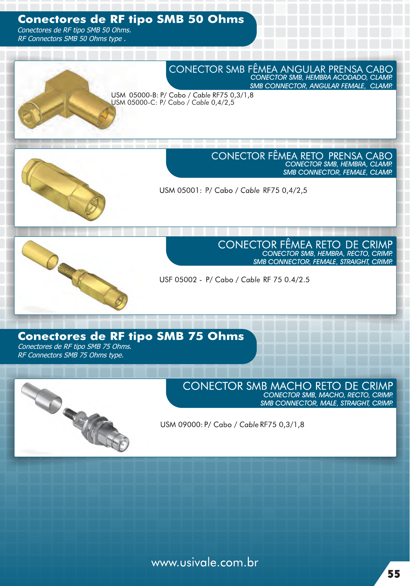## **Conectores de RF tipo SMB 50 Ohms**

Conectores de RF tipo SMB 50 Ohms. RF Connectors SMB 50 Ohms type .



USM 05000-B: P/ Cabo / Cable RF75 0,3/1,8 USM 05000-C: P/ Cabo / *Cable* 0,4/2,5



CONECTOR FÊMEA RETO PRENSA CABO CONECTOR SMB, HEMBRA, CLAMP. SMB CONNECTOR, FEMALE, CLAMP.

USM 05001: P/ Cabo / Cable RF75 0,4/2,5



**CONECTOR FÊMEA RETO DE CRIMP** CONECTOR SMB, HEMBRA, RECTO, CRIMP. SMB CONNECTOR, FEMALE, STRAIGHT, CRIMP.

USF 05002 - P/ Cabo / Cable RF 75 0.4/2.5

## **Conectores de RF tipo SMB 75 Ohms**

Conectores de RF tipo SMB 75 Ohms. RF Connectors SMB 75 Ohms type.



**CONECTOR SMB MACHO RETO DE CRIMP** CONECTOR SMB, MACHO, RECTO, CRIMP. SMB CONNECTOR, MALE, STRAIGHT, CRIMP.

USM 09000: P/ Cabo / Cable RF75 0,3/1,8

www.usivale.com.br